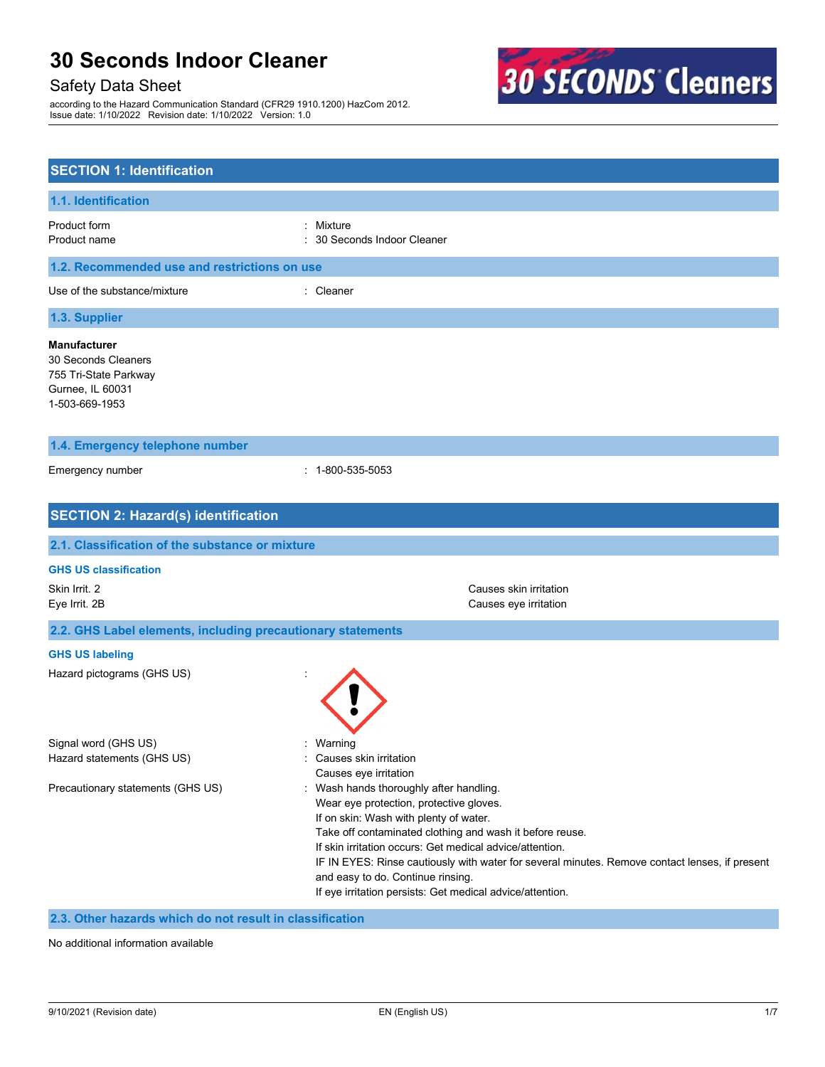# Safety Data Sheet

according to the Hazard Communication Standard (CFR29 1910.1200) HazCom 2012. Issue date: 1/10/2022 Revision date: 1/10/2022 Version: 1.0



| <b>SECTION 1: Identification</b>                                                                          |                                                                                                                                                                                                                                                                                                                                                                                                                                                          |  |  |
|-----------------------------------------------------------------------------------------------------------|----------------------------------------------------------------------------------------------------------------------------------------------------------------------------------------------------------------------------------------------------------------------------------------------------------------------------------------------------------------------------------------------------------------------------------------------------------|--|--|
| 1.1. Identification                                                                                       |                                                                                                                                                                                                                                                                                                                                                                                                                                                          |  |  |
| Product form<br>Product name                                                                              | Mixture<br>۰.<br>30 Seconds Indoor Cleaner                                                                                                                                                                                                                                                                                                                                                                                                               |  |  |
| 1.2. Recommended use and restrictions on use                                                              |                                                                                                                                                                                                                                                                                                                                                                                                                                                          |  |  |
| Use of the substance/mixture                                                                              | : Cleaner                                                                                                                                                                                                                                                                                                                                                                                                                                                |  |  |
| 1.3. Supplier                                                                                             |                                                                                                                                                                                                                                                                                                                                                                                                                                                          |  |  |
| <b>Manufacturer</b><br>30 Seconds Cleaners<br>755 Tri-State Parkway<br>Gurnee, IL 60031<br>1-503-669-1953 |                                                                                                                                                                                                                                                                                                                                                                                                                                                          |  |  |
| 1.4. Emergency telephone number                                                                           |                                                                                                                                                                                                                                                                                                                                                                                                                                                          |  |  |
| Emergency number                                                                                          | $: 1 - 800 - 535 - 5053$                                                                                                                                                                                                                                                                                                                                                                                                                                 |  |  |
| <b>SECTION 2: Hazard(s) identification</b>                                                                |                                                                                                                                                                                                                                                                                                                                                                                                                                                          |  |  |
| 2.1. Classification of the substance or mixture                                                           |                                                                                                                                                                                                                                                                                                                                                                                                                                                          |  |  |
| <b>GHS US classification</b><br>Skin Irrit. 2<br>Eye Irrit. 2B                                            | Causes skin irritation<br>Causes eye irritation                                                                                                                                                                                                                                                                                                                                                                                                          |  |  |
| 2.2. GHS Label elements, including precautionary statements                                               |                                                                                                                                                                                                                                                                                                                                                                                                                                                          |  |  |
| <b>GHS US labeling</b>                                                                                    |                                                                                                                                                                                                                                                                                                                                                                                                                                                          |  |  |
| Hazard pictograms (GHS US)                                                                                |                                                                                                                                                                                                                                                                                                                                                                                                                                                          |  |  |
| Signal word (GHS US)<br>Hazard statements (GHS US)                                                        | Warning<br>Causes skin irritation<br>Causes eye irritation                                                                                                                                                                                                                                                                                                                                                                                               |  |  |
| Precautionary statements (GHS US)                                                                         | : Wash hands thoroughly after handling.<br>Wear eye protection, protective gloves.<br>If on skin: Wash with plenty of water.<br>Take off contaminated clothing and wash it before reuse.<br>If skin irritation occurs: Get medical advice/attention.<br>IF IN EYES: Rinse cautiously with water for several minutes. Remove contact lenses, if present<br>and easy to do. Continue rinsing.<br>If eye irritation persists: Get medical advice/attention. |  |  |

# **2.3. Other hazards which do not result in classification**

No additional information available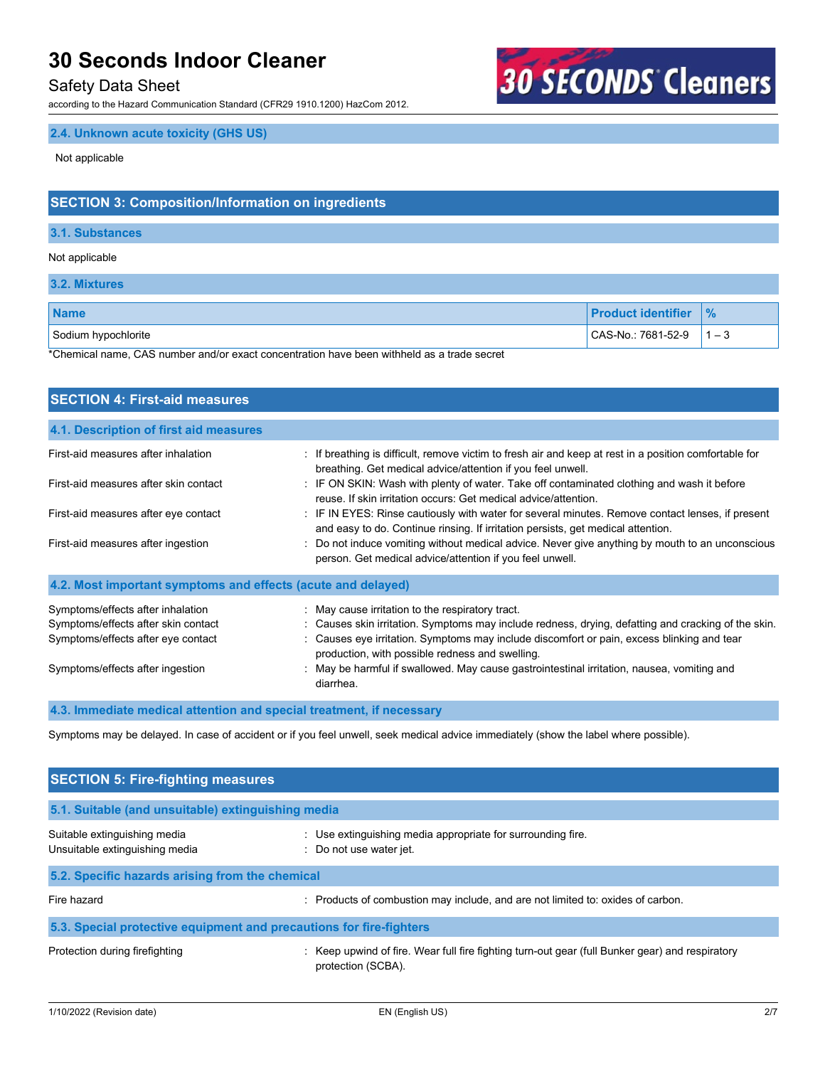## Safety Data Sheet

according to the Hazard Communication Standard (CFR29 1910.1200) HazCom 2012.

# **30 SECONDS Cleaners**

# **2.4. Unknown acute toxicity (GHS US)**

Not applicable

# **SECTION 3: Composition/Information on ingredients**

#### **3.1. Substances**

#### Not applicable

**3.2. Mixtures**

| <b>Name</b>         | <b>Product identifier</b> | $\frac{9}{6}$ |
|---------------------|---------------------------|---------------|
| Sodium hypochlorite | CAS-No.: 7681-52-9        | $1 - 3$       |

\*Chemical name, CAS number and/or exact concentration have been withheld as a trade secret

| <b>SECTION 4: First-aid measures</b>                                                                                                               |                                                                                                                                                                                                                                                                                                                                                                                                                     |
|----------------------------------------------------------------------------------------------------------------------------------------------------|---------------------------------------------------------------------------------------------------------------------------------------------------------------------------------------------------------------------------------------------------------------------------------------------------------------------------------------------------------------------------------------------------------------------|
| 4.1. Description of first aid measures                                                                                                             |                                                                                                                                                                                                                                                                                                                                                                                                                     |
| First-aid measures after inhalation                                                                                                                | : If breathing is difficult, remove victim to fresh air and keep at rest in a position comfortable for<br>breathing. Get medical advice/attention if you feel unwell.                                                                                                                                                                                                                                               |
| First-aid measures after skin contact                                                                                                              | : IF ON SKIN: Wash with plenty of water. Take off contaminated clothing and wash it before<br>reuse. If skin irritation occurs: Get medical advice/attention.                                                                                                                                                                                                                                                       |
| First-aid measures after eye contact                                                                                                               | : IF IN EYES: Rinse cautiously with water for several minutes. Remove contact lenses, if present<br>and easy to do. Continue rinsing. If irritation persists, get medical attention.                                                                                                                                                                                                                                |
| First-aid measures after ingestion                                                                                                                 | : Do not induce vomiting without medical advice. Never give anything by mouth to an unconscious<br>person. Get medical advice/attention if you feel unwell.                                                                                                                                                                                                                                                         |
| 4.2. Most important symptoms and effects (acute and delayed)                                                                                       |                                                                                                                                                                                                                                                                                                                                                                                                                     |
| Symptoms/effects after inhalation<br>Symptoms/effects after skin contact<br>Symptoms/effects after eye contact<br>Symptoms/effects after ingestion | : May cause irritation to the respiratory tract.<br>: Causes skin irritation. Symptoms may include redness, drying, defatting and cracking of the skin.<br>: Causes eye irritation. Symptoms may include discomfort or pain, excess blinking and tear<br>production, with possible redness and swelling.<br>: May be harmful if swallowed. May cause gastrointestinal irritation, nausea, vomiting and<br>diarrhea. |

## **4.3. Immediate medical attention and special treatment, if necessary**

Symptoms may be delayed. In case of accident or if you feel unwell, seek medical advice immediately (show the label where possible).

| <b>SECTION 5: Fire-fighting measures</b>                            |                                                                                                                       |  |  |
|---------------------------------------------------------------------|-----------------------------------------------------------------------------------------------------------------------|--|--|
| 5.1. Suitable (and unsuitable) extinguishing media                  |                                                                                                                       |  |  |
| Suitable extinguishing media<br>Unsuitable extinguishing media      | : Use extinguishing media appropriate for surrounding fire.<br>Do not use water jet.                                  |  |  |
| 5.2. Specific hazards arising from the chemical                     |                                                                                                                       |  |  |
| Fire hazard                                                         | : Products of combustion may include, and are not limited to: oxides of carbon.                                       |  |  |
| 5.3. Special protective equipment and precautions for fire-fighters |                                                                                                                       |  |  |
| Protection during firefighting                                      | : Keep upwind of fire. Wear full fire fighting turn-out gear (full Bunker gear) and respiratory<br>protection (SCBA). |  |  |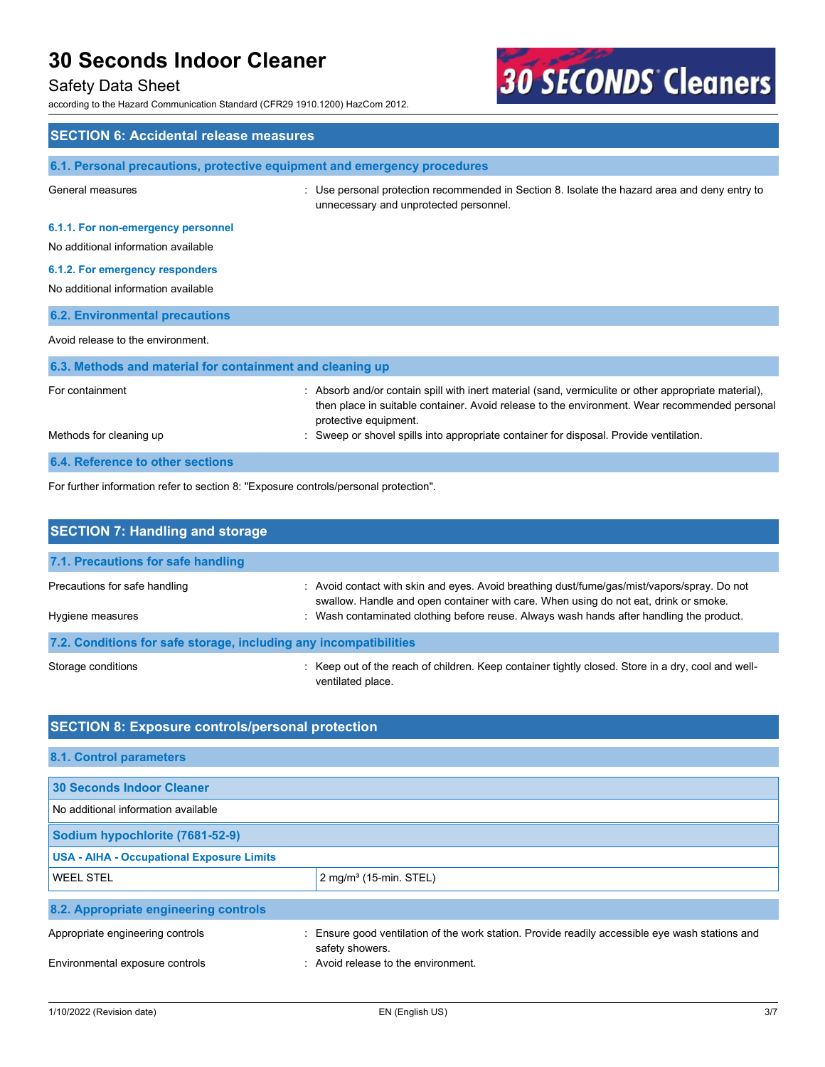# Safety Data Sheet

according to the Hazard Communication Standard (CFR29 1910.1200) HazCom 2012.



| <b>SECTION 6: Accidental release measures</b>                                        |                                                                                                                                                                                                                                |  |
|--------------------------------------------------------------------------------------|--------------------------------------------------------------------------------------------------------------------------------------------------------------------------------------------------------------------------------|--|
| 6.1. Personal precautions, protective equipment and emergency procedures             |                                                                                                                                                                                                                                |  |
| General measures                                                                     | : Use personal protection recommended in Section 8. Isolate the hazard area and deny entry to<br>unnecessary and unprotected personnel.                                                                                        |  |
| 6.1.1. For non-emergency personnel<br>No additional information available            |                                                                                                                                                                                                                                |  |
| 6.1.2. For emergency responders                                                      |                                                                                                                                                                                                                                |  |
| No additional information available                                                  |                                                                                                                                                                                                                                |  |
| <b>6.2. Environmental precautions</b>                                                |                                                                                                                                                                                                                                |  |
| Avoid release to the environment.                                                    |                                                                                                                                                                                                                                |  |
| 6.3. Methods and material for containment and cleaning up                            |                                                                                                                                                                                                                                |  |
| For containment                                                                      | : Absorb and/or contain spill with inert material (sand, vermiculite or other appropriate material),<br>then place in suitable container. Avoid release to the environment. Wear recommended personal<br>protective equipment. |  |
| Methods for cleaning up                                                              | Sweep or shovel spills into appropriate container for disposal. Provide ventilation.                                                                                                                                           |  |
| 6.4. Reference to other sections                                                     |                                                                                                                                                                                                                                |  |
| For further information refer to section 8: "Exposure controls/personal protection". |                                                                                                                                                                                                                                |  |

| <b>SECTION 7: Handling and storage</b>                            |                                                                                                                                                                                     |  |  |
|-------------------------------------------------------------------|-------------------------------------------------------------------------------------------------------------------------------------------------------------------------------------|--|--|
| 7.1. Precautions for safe handling                                |                                                                                                                                                                                     |  |  |
| Precautions for safe handling                                     | : Avoid contact with skin and eyes. Avoid breathing dust/fume/gas/mist/vapors/spray. Do not<br>swallow. Handle and open container with care. When using do not eat, drink or smoke. |  |  |
| Hygiene measures                                                  | : Wash contaminated clothing before reuse. Always wash hands after handling the product.                                                                                            |  |  |
| 7.2. Conditions for safe storage, including any incompatibilities |                                                                                                                                                                                     |  |  |
| Storage conditions                                                | : Keep out of the reach of children. Keep container tightly closed. Store in a dry, cool and well-<br>ventilated place.                                                             |  |  |

# **SECTION 8: Exposure controls/personal protection**

| 8.1. Control parameters                          |                                                                                                                    |
|--------------------------------------------------|--------------------------------------------------------------------------------------------------------------------|
| 30 Seconds Indoor Cleaner                        |                                                                                                                    |
| No additional information available              |                                                                                                                    |
| Sodium hypochlorite (7681-52-9)                  |                                                                                                                    |
| <b>USA - AIHA - Occupational Exposure Limits</b> |                                                                                                                    |
| <b>WEEL STEL</b>                                 | $2$ mg/m <sup>3</sup> (15-min. STEL)                                                                               |
| 8.2. Appropriate engineering controls            |                                                                                                                    |
| Appropriate engineering controls                 | : Ensure good ventilation of the work station. Provide readily accessible eye wash stations and<br>safety showers. |
| Environmental exposure controls                  | : Avoid release to the environment.                                                                                |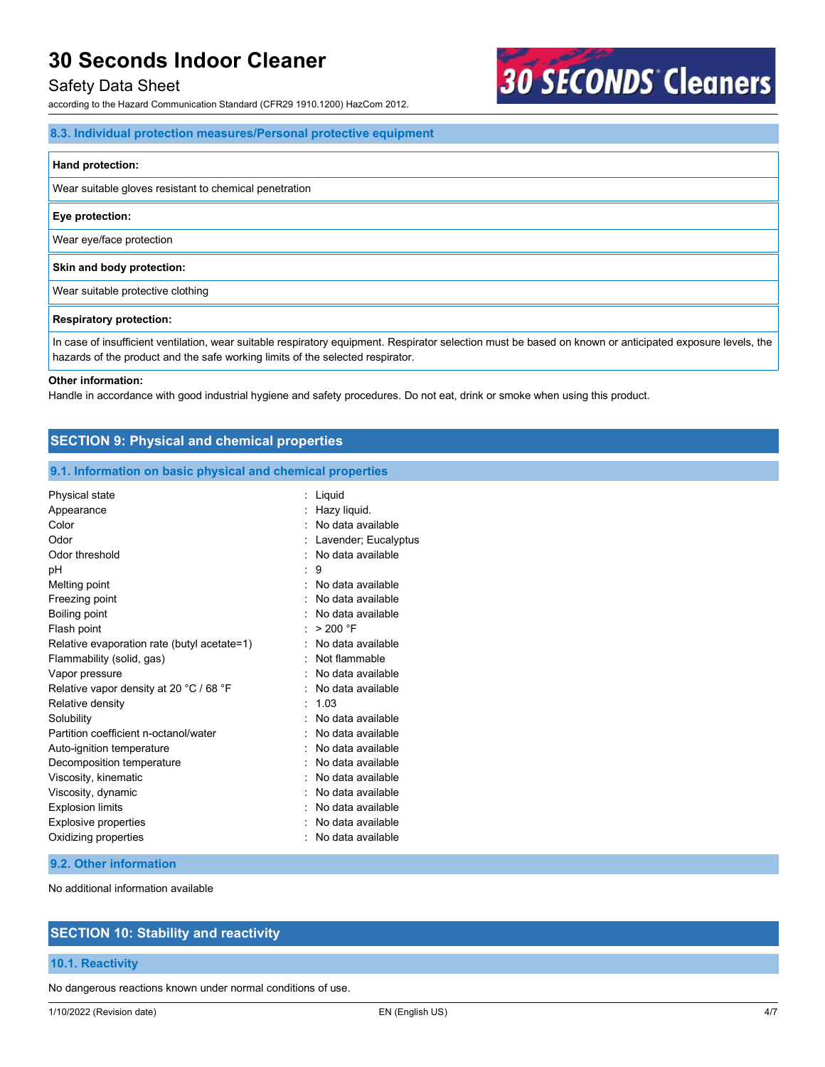## Safety Data Sheet

according to the Hazard Communication Standard (CFR29 1910.1200) HazCom 2012.

## **8.3. Individual protection measures/Personal protective equipment**

#### **Hand protection:**

Wear suitable gloves resistant to chemical penetration

#### **Eye protection:**

Wear eye/face protection

#### **Skin and body protection:**

Wear suitable protective clothing

#### **Respiratory protection:**

In case of insufficient ventilation, wear suitable respiratory equipment. Respirator selection must be based on known or anticipated exposure levels, the hazards of the product and the safe working limits of the selected respirator.

**30 SECONDS Cleaners** 

#### **Other information:**

Handle in accordance with good industrial hygiene and safety procedures. Do not eat, drink or smoke when using this product.

| <b>SECTION 9: Physical and chemical properties</b>         |                        |  |
|------------------------------------------------------------|------------------------|--|
| 9.1. Information on basic physical and chemical properties |                        |  |
| Physical state                                             | $:$ Liquid             |  |
| Appearance                                                 | : Hazy liquid.         |  |
| Color                                                      | : No data available    |  |
| Odor                                                       | : Lavender; Eucalyptus |  |
| Odor threshold                                             | : No data available    |  |
| pH                                                         | $\therefore$ 9         |  |
| Melting point                                              | : No data available    |  |
| Freezing point                                             | : No data available    |  |
| Boiling point                                              | : No data available    |  |
| Flash point                                                | : $>200$ °F            |  |
| Relative evaporation rate (butyl acetate=1)                | : No data available    |  |
| Flammability (solid, gas)                                  | : Not flammable        |  |
| Vapor pressure                                             | : No data available    |  |
| Relative vapor density at 20 °C / 68 °F                    | : No data available    |  |
| Relative density                                           | : 1.03                 |  |
| Solubility                                                 | No data available      |  |

| Relative vapor density at 20 °C / 68 °F | : No data available            |
|-----------------------------------------|--------------------------------|
| Relative density                        | : 1.03                         |
| Solubility                              | $\therefore$ No data available |
| Partition coefficient n-octanol/water   | : No data available            |
| Auto-ignition temperature               | $\therefore$ No data available |
| Decomposition temperature               | : No data available            |
| Viscosity, kinematic                    | : No data available            |
| Viscosity, dynamic                      | $\therefore$ No data available |
| <b>Explosion limits</b>                 | $\therefore$ No data available |
| <b>Explosive properties</b>             | : No data available            |
| Oxidizing properties                    | : No data available            |

#### **9.2. Other information**

No additional information available

# **SECTION 10: Stability and reactivity**

#### **10.1. Reactivity**

No dangerous reactions known under normal conditions of use.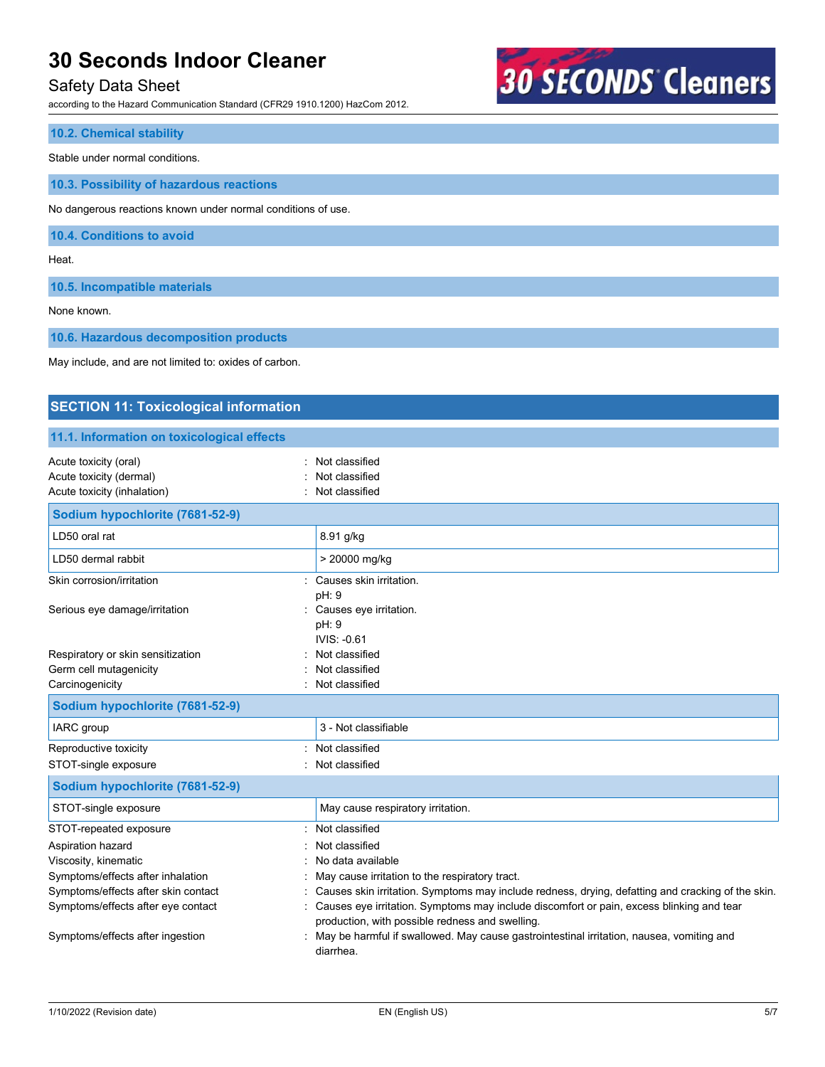# Safety Data Sheet

according to the Hazard Communication Standard (CFR29 1910.1200) HazCom 2012.



## **10.2. Chemical stability**

Stable under normal conditions.

**10.3. Possibility of hazardous reactions**

No dangerous reactions known under normal conditions of use.

**10.4. Conditions to avoid**

Heat.

**10.5. Incompatible materials**

None known.

**10.6. Hazardous decomposition products**

May include, and are not limited to: oxides of carbon.

# **SECTION 11: Toxicological information**

## **11.1. Information on toxicological effects**

| Acute toxicity (oral)<br>Acute toxicity (dermal)<br>Acute toxicity (inhalation)                                                                                                                                           | Not classified<br>Not classified<br>Not classified                                                                                                                                                                                                                                                                                                                                                                                                                   |
|---------------------------------------------------------------------------------------------------------------------------------------------------------------------------------------------------------------------------|----------------------------------------------------------------------------------------------------------------------------------------------------------------------------------------------------------------------------------------------------------------------------------------------------------------------------------------------------------------------------------------------------------------------------------------------------------------------|
| Sodium hypochlorite (7681-52-9)                                                                                                                                                                                           |                                                                                                                                                                                                                                                                                                                                                                                                                                                                      |
| LD50 oral rat                                                                                                                                                                                                             | 8.91 g/kg                                                                                                                                                                                                                                                                                                                                                                                                                                                            |
| LD50 dermal rabbit                                                                                                                                                                                                        | > 20000 mg/kg                                                                                                                                                                                                                                                                                                                                                                                                                                                        |
| Skin corrosion/irritation                                                                                                                                                                                                 | Causes skin irritation.<br>pH: 9                                                                                                                                                                                                                                                                                                                                                                                                                                     |
| Serious eye damage/irritation                                                                                                                                                                                             | Causes eye irritation.<br>pH: 9<br>IVIS: -0.61                                                                                                                                                                                                                                                                                                                                                                                                                       |
| Respiratory or skin sensitization<br>Germ cell mutagenicity<br>Carcinogenicity                                                                                                                                            | Not classified<br>Not classified<br>Not classified                                                                                                                                                                                                                                                                                                                                                                                                                   |
| Sodium hypochlorite (7681-52-9)                                                                                                                                                                                           |                                                                                                                                                                                                                                                                                                                                                                                                                                                                      |
| IARC group                                                                                                                                                                                                                | 3 - Not classifiable                                                                                                                                                                                                                                                                                                                                                                                                                                                 |
| Reproductive toxicity<br>STOT-single exposure                                                                                                                                                                             | Not classified<br>Not classified                                                                                                                                                                                                                                                                                                                                                                                                                                     |
| Sodium hypochlorite (7681-52-9)                                                                                                                                                                                           |                                                                                                                                                                                                                                                                                                                                                                                                                                                                      |
| STOT-single exposure                                                                                                                                                                                                      | May cause respiratory irritation.                                                                                                                                                                                                                                                                                                                                                                                                                                    |
| STOT-repeated exposure<br>Aspiration hazard<br>Viscosity, kinematic<br>Symptoms/effects after inhalation<br>Symptoms/effects after skin contact<br>Symptoms/effects after eye contact<br>Symptoms/effects after ingestion | Not classified<br>Not classified<br>No data available<br>May cause irritation to the respiratory tract.<br>Causes skin irritation. Symptoms may include redness, drying, defatting and cracking of the skin.<br>Causes eye irritation. Symptoms may include discomfort or pain, excess blinking and tear<br>production, with possible redness and swelling.<br>May be harmful if swallowed. May cause gastrointestinal irritation, nausea, vomiting and<br>diarrhea. |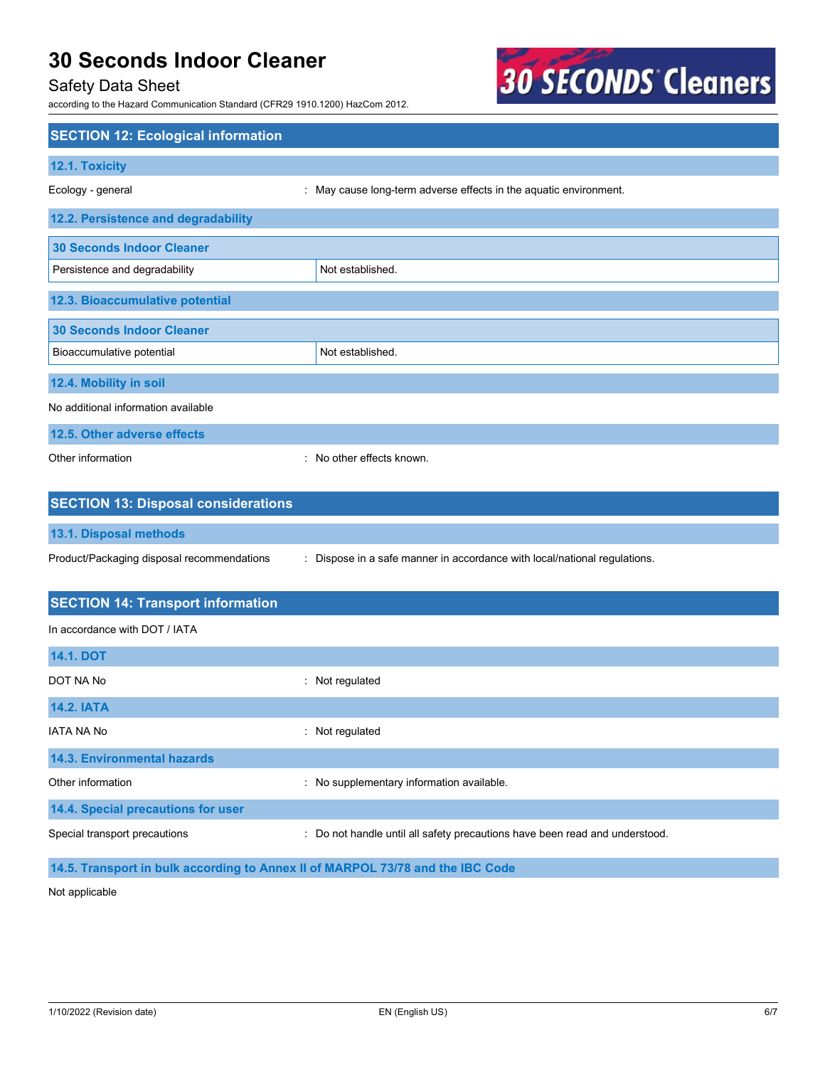# Safety Data Sheet

according to the Hazard Communication Standard (CFR29 1910.1200) HazCom 2012.



| <b>SECTION 12: Ecological information</b>  |                                                                             |
|--------------------------------------------|-----------------------------------------------------------------------------|
| 12.1. Toxicity                             |                                                                             |
| Ecology - general                          | : May cause long-term adverse effects in the aquatic environment.           |
| 12.2. Persistence and degradability        |                                                                             |
| <b>30 Seconds Indoor Cleaner</b>           |                                                                             |
| Persistence and degradability              | Not established.                                                            |
| 12.3. Bioaccumulative potential            |                                                                             |
| <b>30 Seconds Indoor Cleaner</b>           |                                                                             |
| Bioaccumulative potential                  | Not established.                                                            |
| 12.4. Mobility in soil                     |                                                                             |
| No additional information available        |                                                                             |
| 12.5. Other adverse effects                |                                                                             |
| Other information                          | : No other effects known.                                                   |
|                                            |                                                                             |
| <b>SECTION 13: Disposal considerations</b> |                                                                             |
| 13.1. Disposal methods                     |                                                                             |
| Product/Packaging disposal recommendations | : Dispose in a safe manner in accordance with local/national regulations.   |
| <b>SECTION 14: Transport information</b>   |                                                                             |
| In accordance with DOT / IATA              |                                                                             |
| <b>14.1. DOT</b>                           |                                                                             |
| DOT NA No                                  | : Not regulated                                                             |
| <b>14.2. IATA</b>                          |                                                                             |
| <b>IATA NA No</b>                          | : Not regulated                                                             |
| 14.3. Environmental hazards                |                                                                             |
| Other information                          | : No supplementary information available.                                   |
| 14.4. Special precautions for user         |                                                                             |
| Special transport precautions              | : Do not handle until all safety precautions have been read and understood. |
|                                            |                                                                             |

**14.5. Transport in bulk according to Annex II of MARPOL 73/78 and the IBC Code**

Not applicable